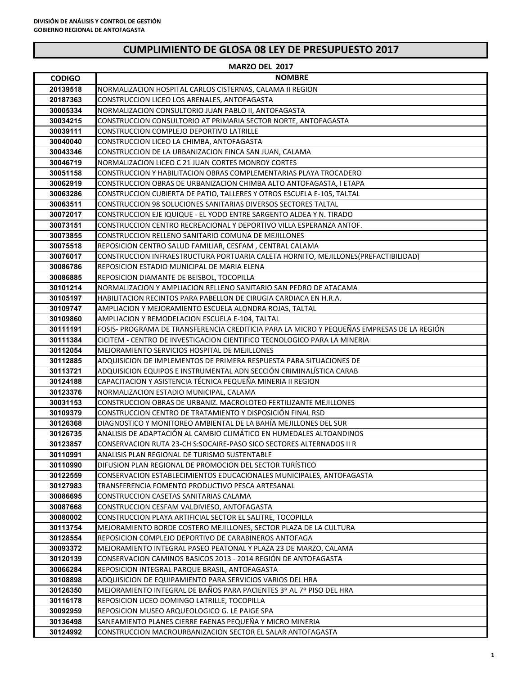| <b>MARZO DEL 2017</b> |                                                                                                                                    |  |
|-----------------------|------------------------------------------------------------------------------------------------------------------------------------|--|
| <b>CODIGO</b>         | <b>NOMBRE</b>                                                                                                                      |  |
| 20139518              | NORMALIZACION HOSPITAL CARLOS CISTERNAS, CALAMA II REGION                                                                          |  |
| 20187363              | CONSTRUCCION LICEO LOS ARENALES, ANTOFAGASTA                                                                                       |  |
| 30005334              | NORMALIZACION CONSULTORIO JUAN PABLO II, ANTOFAGASTA                                                                               |  |
| 30034215              | CONSTRUCCION CONSULTORIO AT PRIMARIA SECTOR NORTE, ANTOFAGASTA                                                                     |  |
| 30039111              | CONSTRUCCION COMPLEJO DEPORTIVO LATRILLE                                                                                           |  |
| 30040040              | CONSTRUCCION LICEO LA CHIMBA, ANTOFAGASTA                                                                                          |  |
| 30043346              | CONSTRUCCION DE LA URBANIZACION FINCA SAN JUAN, CALAMA                                                                             |  |
| 30046719              | NORMALIZACION LICEO C 21 JUAN CORTES MONROY CORTES                                                                                 |  |
| 30051158              | CONSTRUCCION Y HABILITACION OBRAS COMPLEMENTARIAS PLAYA TROCADERO                                                                  |  |
| 30062919              | CONSTRUCCION OBRAS DE URBANIZACION CHIMBA ALTO ANTOFAGASTA, I ETAPA                                                                |  |
| 30063286              | CONSTRUCCION CUBIERTA DE PATIO, TALLERES Y OTROS ESCUELA E-105, TALTAL                                                             |  |
| 30063511              | CONSTRUCCION 98 SOLUCIONES SANITARIAS DIVERSOS SECTORES TALTAL                                                                     |  |
| 30072017              | CONSTRUCCION EJE IQUIQUE - EL YODO ENTRE SARGENTO ALDEA Y N. TIRADO                                                                |  |
| 30073151              | CONSTRUCCION CENTRO RECREACIONAL Y DEPORTIVO VILLA ESPERANZA ANTOF.                                                                |  |
| 30073855              | CONSTRUCCION RELLENO SANITARIO COMUNA DE MEJILLONES                                                                                |  |
| 30075518              | REPOSICION CENTRO SALUD FAMILIAR, CESFAM, CENTRAL CALAMA                                                                           |  |
| 30076017              | CONSTRUCCION INFRAESTRUCTURA PORTUARIA CALETA HORNITO, MEJILLONES(PREFACTIBILIDAD)                                                 |  |
| 30086786              | REPOSICION ESTADIO MUNICIPAL DE MARIA ELENA                                                                                        |  |
| 30086885              | REPOSICION DIAMANTE DE BEISBOL, TOCOPILLA                                                                                          |  |
| 30101214              | NORMALIZACION Y AMPLIACION RELLENO SANITARIO SAN PEDRO DE ATACAMA                                                                  |  |
| 30105197              | HABILITACION RECINTOS PARA PABELLON DE CIRUGIA CARDIACA EN H.R.A.                                                                  |  |
| 30109747              | AMPLIACION Y MEJORAMIENTO ESCUELA ALONDRA ROJAS, TALTAL                                                                            |  |
| 30109860              | AMPLIACION Y REMODELACION ESCUELA E-104, TALTAL                                                                                    |  |
| 30111191              | FOSIS-PROGRAMA DE TRANSFERENCIA CREDITICIA PARA LA MICRO Y PEQUEÑAS EMPRESAS DE LA REGIÓN                                          |  |
| 30111384              | CICITEM - CENTRO DE INVESTIGACION CIENTIFICO TECNOLOGICO PARA LA MINERIA                                                           |  |
| 30112054              | MEJORAMIENTO SERVICIOS HOSPITAL DE MEJILLONES                                                                                      |  |
| 30112885              | ADQUISICION DE IMPLEMENTOS DE PRIMERA RESPUESTA PARA SITUACIONES DE                                                                |  |
| 30113721<br>30124188  | ADQUISICION EQUIPOS E INSTRUMENTAL ADN SECCION CRIMINALISTICA CARAB<br>CAPACITACION Y ASISTENCIA TÉCNICA PEQUEÑA MINERIA II REGION |  |
| 30123376              | NORMALIZACION ESTADIO MUNICIPAL, CALAMA                                                                                            |  |
| 30031153              | CONSTRUCCION OBRAS DE URBANIZ. MACROLOTEO FERTILIZANTE MEJILLONES                                                                  |  |
| 30109379              | CONSTRUCCION CENTRO DE TRATAMIENTO Y DISPOSICIÓN FINAL RSD                                                                         |  |
| 30126368              | DIAGNOSTICO Y MONITOREO AMBIENTAL DE LA BAHÍA MEJILLONES DEL SUR                                                                   |  |
| 30126735              | ANALISIS DE ADAPTACIÓN AL CAMBIO CLIMÁTICO EN HUMEDALES ALTOANDINOS                                                                |  |
| 30123857              | CONSERVACION RUTA 23-CH S:SOCAIRE-PASO SICO SECTORES ALTERNADOS II R                                                               |  |
| 30110991              | ANALISIS PLAN REGIONAL DE TURISMO SUSTENTABLE                                                                                      |  |
| 30110990              | DIFUSION PLAN REGIONAL DE PROMOCION DEL SECTOR TURÍSTICO                                                                           |  |
| 30122559              | CONSERVACION ESTABLECIMIENTOS EDUCACIONALES MUNICIPALES, ANTOFAGASTA                                                               |  |
| 30127983              | TRANSFERENCIA FOMENTO PRODUCTIVO PESCA ARTESANAL                                                                                   |  |
| 30086695              | CONSTRUCCION CASETAS SANITARIAS CALAMA                                                                                             |  |
| 30087668              | CONSTRUCCION CESFAM VALDIVIESO, ANTOFAGASTA                                                                                        |  |
| 30080002              | CONSTRUCCION PLAYA ARTIFICIAL SECTOR EL SALITRE, TOCOPILLA                                                                         |  |
| 30113754              | MEJORAMIENTO BORDE COSTERO MEJILLONES, SECTOR PLAZA DE LA CULTURA                                                                  |  |
| 30128554              | REPOSICION COMPLEJO DEPORTIVO DE CARABINEROS ANTOFAGA                                                                              |  |
| 30093372              | MEJORAMIENTO INTEGRAL PASEO PEATONAL Y PLAZA 23 DE MARZO, CALAMA                                                                   |  |
| 30120139              | CONSERVACION CAMINOS BASICOS 2013 - 2014 REGIÓN DE ANTOFAGASTA                                                                     |  |
| 30066284              | REPOSICION INTEGRAL PARQUE BRASIL, ANTOFAGASTA                                                                                     |  |
| 30108898              | ADQUISICION DE EQUIPAMIENTO PARA SERVICIOS VARIOS DEL HRA                                                                          |  |
| 30126350              | MEJORAMIENTO INTEGRAL DE BAÑOS PARA PACIENTES 3º AL 7º PISO DEL HRA                                                                |  |
| 30116178              | REPOSICION LICEO DOMINGO LATRILLE, TOCOPILLA                                                                                       |  |
| 30092959              | REPOSICION MUSEO ARQUEOLOGICO G. LE PAIGE SPA                                                                                      |  |
| 30136498              | SANEAMIENTO PLANES CIERRE FAENAS PEQUEÑA Y MICRO MINERIA                                                                           |  |
| 30124992              | CONSTRUCCION MACROURBANIZACION SECTOR EL SALAR ANTOFAGASTA                                                                         |  |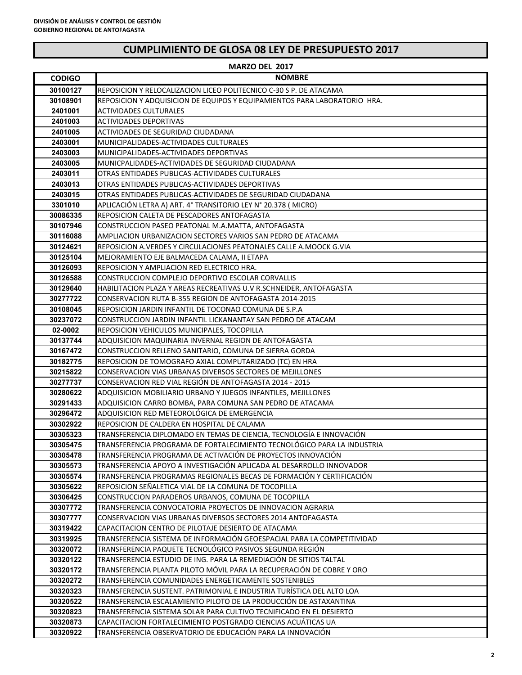| <b>MARZO DEL 2017</b> |                                                                                                                      |  |
|-----------------------|----------------------------------------------------------------------------------------------------------------------|--|
| <b>CODIGO</b>         | <b>NOMBRE</b>                                                                                                        |  |
| 30100127              | REPOSICION Y RELOCALIZACION LICEO POLITECNICO C-30 S P. DE ATACAMA                                                   |  |
| 30108901              | REPOSICION Y ADQUISICION DE EQUIPOS Y EQUIPAMIENTOS PARA LABORATORIO HRA.                                            |  |
| 2401001               | <b>ACTIVIDADES CULTURALES</b>                                                                                        |  |
| 2401003               | <b>ACTIVIDADES DEPORTIVAS</b>                                                                                        |  |
| 2401005               | ACTIVIDADES DE SEGURIDAD CIUDADANA                                                                                   |  |
| 2403001               | MUNICIPALIDADES-ACTIVIDADES CULTURALES                                                                               |  |
| 2403003               | MUNICIPALIDADES-ACTIVIDADES DEPORTIVAS                                                                               |  |
| 2403005               | MUNICPALIDADES-ACTIVIDADES DE SEGURIDAD CIUDADANA                                                                    |  |
| 2403011               | OTRAS ENTIDADES PUBLICAS-ACTIVIDADES CULTURALES                                                                      |  |
| 2403013               | OTRAS ENTIDADES PUBLICAS-ACTIVIDADES DEPORTIVAS                                                                      |  |
| 2403015               | OTRAS ENTIDADES PUBLICAS-ACTIVIDADES DE SEGURIDAD CIUDADANA                                                          |  |
| 3301010               | APLICACIÓN LETRA A) ART. 4º TRANSITORIO LEY Nº 20.378 (MICRO)                                                        |  |
| 30086335              | REPOSICION CALETA DE PESCADORES ANTOFAGASTA                                                                          |  |
| 30107946              | CONSTRUCCION PASEO PEATONAL M.A.MATTA, ANTOFAGASTA                                                                   |  |
| 30116088              | AMPLIACION URBANIZACION SECTORES VARIOS SAN PEDRO DE ATACAMA                                                         |  |
| 30124621              | REPOSICION A.VERDES Y CIRCULACIONES PEATONALES CALLE A.MOOCK G.VIA                                                   |  |
| 30125104              | MEJORAMIENTO EJE BALMACEDA CALAMA, II ETAPA                                                                          |  |
| 30126093              | REPOSICION Y AMPLIACION RED ELECTRICO HRA.                                                                           |  |
| 30126588              | CONSTRUCCION COMPLEJO DEPORTIVO ESCOLAR CORVALLIS                                                                    |  |
| 30129640              | HABILITACION PLAZA Y AREAS RECREATIVAS U.V R.SCHNEIDER, ANTOFAGASTA                                                  |  |
| 30277722              | CONSERVACION RUTA B-355 REGION DE ANTOFAGASTA 2014-2015                                                              |  |
| 30108045              | REPOSICION JARDIN INFANTIL DE TOCONAO COMUNA DE S.P.A                                                                |  |
| 30237072              | CONSTRUCCION JARDIN INFANTIL LICKANANTAY SAN PEDRO DE ATACAM                                                         |  |
| 02-0002               | REPOSICION VEHICULOS MUNICIPALES, TOCOPILLA                                                                          |  |
| 30137744              | ADQUISICION MAQUINARIA INVERNAL REGION DE ANTOFAGASTA                                                                |  |
| 30167472              | CONSTRUCCION RELLENO SANITARIO, COMUNA DE SIERRA GORDA                                                               |  |
| 30182775              | REPOSICION DE TOMOGRAFO AXIAL COMPUTARIZADO (TC) EN HRA                                                              |  |
| 30215822<br>30277737  | CONSERVACION VIAS URBANAS DIVERSOS SECTORES DE MEJILLONES<br>CONSERVACION RED VIAL REGIÓN DE ANTOFAGASTA 2014 - 2015 |  |
| 30280622              | ADQUISICION MOBILIARIO URBANO Y JUEGOS INFANTILES, MEJILLONES                                                        |  |
| 30291433              | ADQUISICION CARRO BOMBA, PARA COMUNA SAN PEDRO DE ATACAMA                                                            |  |
| 30296472              | ADQUISICION RED METEOROLOGICA DE EMERGENCIA                                                                          |  |
| 30302922              | REPOSICION DE CALDERA EN HOSPITAL DE CALAMA                                                                          |  |
| 30305323              | TRANSFERENCIA DIPLOMADO EN TEMAS DE CIENCIA, TECNOLOGÍA E INNOVACIÓN                                                 |  |
| 30305475              | TRANSFERENCIA PROGRAMA DE FORTALECIMIENTO TECNOLÓGICO PARA LA INDUSTRIA                                              |  |
| 30305478              | TRANSFERENCIA PROGRAMA DE ACTIVACIÓN DE PROYECTOS INNOVACIÓN                                                         |  |
| 30305573              | TRANSFERENCIA APOYO A INVESTIGACIÓN APLICADA AL DESARROLLO INNOVADOR                                                 |  |
| 30305574              | TRANSFERENCIA PROGRAMAS REGIONALES BECAS DE FORMACION Y CERTIFICACION                                                |  |
| 30305622              | REPOSICION SEÑALETICA VIAL DE LA COMUNA DE TOCOPILLA                                                                 |  |
| 30306425              | CONSTRUCCION PARADEROS URBANOS, COMUNA DE TOCOPILLA                                                                  |  |
| 30307772              | TRANSFERENCIA CONVOCATORIA PROYECTOS DE INNOVACION AGRARIA                                                           |  |
| 30307777              | CONSERVACION VIAS URBANAS DIVERSOS SECTORES 2014 ANTOFAGASTA                                                         |  |
| 30319422              | CAPACITACION CENTRO DE PILOTAJE DESIERTO DE ATACAMA                                                                  |  |
| 30319925              | TRANSFERENCIA SISTEMA DE INFORMACIÓN GEOESPACIAL PARA LA COMPETITIVIDAD                                              |  |
| 30320072              | TRANSFERENCIA PAQUETE TECNOLOGICO PASIVOS SEGUNDA REGION                                                             |  |
| 30320122              | TRANSFERENCIA ESTUDIO DE ING. PARA LA REMEDIACION DE SITIOS TALTAL                                                   |  |
| 30320172              | TRANSFERENCIA PLANTA PILOTO MOVIL PARA LA RECUPERACION DE COBRE Y ORO                                                |  |
| 30320272              | TRANSFERENCIA COMUNIDADES ENERGETICAMENTE SOSTENIBLES                                                                |  |
| 30320323              | TRANSFERENCIA SUSTENT. PATRIMONIAL E INDUSTRIA TURISTICA DEL ALTO LOA                                                |  |
| 30320522              | TRANSFERENCIA ESCALAMIENTO PILOTO DE LA PRODUCCIÓN DE ASTAXANTINA                                                    |  |
| 30320823              | TRANSFERENCIA SISTEMA SOLAR PARA CULTIVO TECNIFICADO EN EL DESIERTO                                                  |  |
| 30320873              | CAPACITACION FORTALECIMIENTO POSTGRADO CIENCIAS ACUÁTICAS UA                                                         |  |
| 30320922              | TRANSFERENCIA OBSERVATORIO DE EDUCACIÓN PARA LA INNOVACIÓN                                                           |  |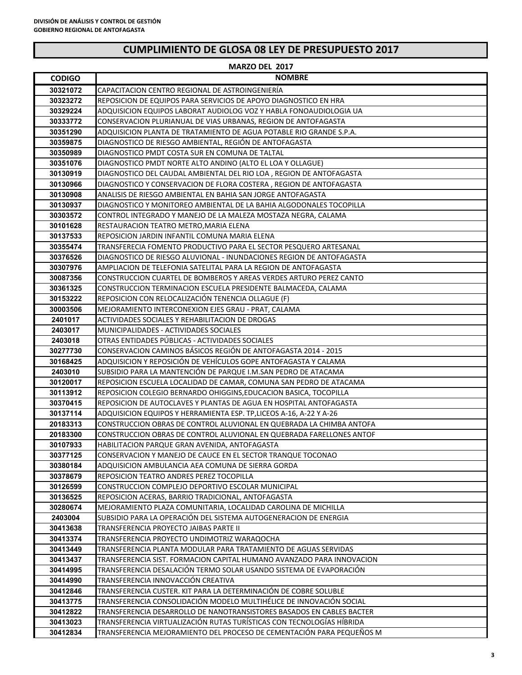|                     | MARZO DEL 2017                                                                                                                    |
|---------------------|-----------------------------------------------------------------------------------------------------------------------------------|
| <b>CODIGO</b>       | <b>NOMBRE</b>                                                                                                                     |
| 30321072            | CAPACITACION CENTRO REGIONAL DE ASTROINGENIERÍA                                                                                   |
| 30323272            | REPOSICION DE EQUIPOS PARA SERVICIOS DE APOYO DIAGNOSTICO EN HRA                                                                  |
| 30329224            | ADQUISICION EQUIPOS LABORAT AUDIOLOG VOZ Y HABLA FONOAUDIOLOGIA UA                                                                |
| 30333772            | CONSERVACION PLURIANUAL DE VIAS URBANAS, REGION DE ANTOFAGASTA                                                                    |
| 30351290            | ADQUISICION PLANTA DE TRATAMIENTO DE AGUA POTABLE RIO GRANDE S.P.A.                                                               |
| 30359875            | DIAGNOSTICO DE RIESGO AMBIENTAL, REGIÓN DE ANTOFAGASTA                                                                            |
| 30350989            | DIAGNOSTICO PMDT COSTA SUR EN COMUNA DE TALTAL                                                                                    |
| 30351076            | DIAGNOSTICO PMDT NORTE ALTO ANDINO (ALTO EL LOA Y OLLAGUE)                                                                        |
| 30130919            | DIAGNOSTICO DEL CAUDAL AMBIENTAL DEL RIO LOA, REGION DE ANTOFAGASTA                                                               |
| 30130966            | DIAGNOSTICO Y CONSERVACION DE FLORA COSTERA, REGION DE ANTOFAGASTA                                                                |
| 30130908            | ANALISIS DE RIESGO AMBIENTAL EN BAHIA SAN JORGE ANTOFAGASTA                                                                       |
| 30130937            | DIAGNOSTICO Y MONITOREO AMBIENTAL DE LA BAHIA ALGODONALES TOCOPILLA                                                               |
| 30303572            | CONTROL INTEGRADO Y MANEJO DE LA MALEZA MOSTAZA NEGRA, CALAMA                                                                     |
| 30101628            | RESTAURACION TEATRO METRO, MARIA ELENA                                                                                            |
| 30137533            | REPOSICION JARDIN INFANTIL COMUNA MARIA ELENA                                                                                     |
| 30355474            | TRANSFERECIA FOMENTO PRODUCTIVO PARA EL SECTOR PESQUERO ARTESANAL                                                                 |
| 30376526            | DIAGNOSTICO DE RIESGO ALUVIONAL - INUNDACIONES REGION DE ANTOFAGASTA                                                              |
| 30307976            | AMPLIACION DE TELEFONIA SATELITAL PARA LA REGION DE ANTOFAGASTA                                                                   |
| 30087356            | CONSTRUCCION CUARTEL DE BOMBEROS Y AREAS VERDES ARTURO PEREZ CANTO                                                                |
| 30361325            | CONSTRUCCION TERMINACION ESCUELA PRESIDENTE BALMACEDA, CALAMA                                                                     |
| 30153222            | REPOSICION CON RELOCALIZACIÓN TENENCIA OLLAGUE (F)                                                                                |
| 30003506            | MEJORAMIENTO INTERCONEXION EJES GRAU - PRAT, CALAMA                                                                               |
| 2401017             | ACTIVIDADES SOCIALES Y REHABILITACION DE DROGAS                                                                                   |
| 2403017             | <b>MUNICIPALIDADES - ACTIVIDADES SOCIALES</b>                                                                                     |
| 2403018             | OTRAS ENTIDADES PÚBLICAS - ACTIVIDADES SOCIALES                                                                                   |
| 30277730            | CONSERVACION CAMINOS BÁSICOS REGIÓN DE ANTOFAGASTA 2014 - 2015<br>ADQUISICION Y REPOSICIÓN DE VEHÍCULOS GOPE ANTOFAGASTA Y CALAMA |
| 30168425            | SUBSIDIO PARA LA MANTENCIÓN DE PARQUE I.M.SAN PEDRO DE ATACAMA                                                                    |
| 2403010<br>30120017 | REPOSICION ESCUELA LOCALIDAD DE CAMAR, COMUNA SAN PEDRO DE ATACAMA                                                                |
| 30113912            | REPOSICION COLEGIO BERNARDO OHIGGINS, EDUCACION BASICA, TOCOPILLA                                                                 |
| 30370415            | REPOSICION DE AUTOCLAVES Y PLANTAS DE AGUA EN HOSPITAL ANTOFAGASTA                                                                |
| 30137114            | ADQUISICION EQUIPOS Y HERRAMIENTA ESP. TP, LICEOS A-16, A-22 Y A-26                                                               |
| 20183313            | CONSTRUCCION OBRAS DE CONTROL ALUVIONAL EN QUEBRADA LA CHIMBA ANTOFA                                                              |
| 20183300            | CONSTRUCCION OBRAS DE CONTROL ALUVIONAL EN QUEBRADA FARELLONES ANTOF                                                              |
| 30107933            | HABILITACION PARQUE GRAN AVENIDA, ANTOFAGASTA                                                                                     |
| 30377125            | CONSERVACION Y MANEJO DE CAUCE EN EL SECTOR TRANQUE TOCONAO                                                                       |
| 30380184            | ADQUISICION AMBULANCIA AEA COMUNA DE SIERRA GORDA                                                                                 |
| 30378679            | REPOSICION TEATRO ANDRES PEREZ TOCOPILLA                                                                                          |
| 30126599            | CONSTRUCCION COMPLEJO DEPORTIVO ESCOLAR MUNICIPAL                                                                                 |
| 30136525            | REPOSICION ACERAS, BARRIO TRADICIONAL, ANTOFAGASTA                                                                                |
| 30280674            | MEJORAMIENTO PLAZA COMUNITARIA, LOCALIDAD CAROLINA DE MICHILLA                                                                    |
| 2403004             | SUBSIDIO PARA LA OPERACIÓN DEL SISTEMA AUTOGENERACION DE ENERGIA                                                                  |
| 30413638            | TRANSFERENCIA PROYECTO JAIBAS PARTE II                                                                                            |
| 30413374            | TRANSFERENCIA PROYECTO UNDIMOTRIZ WARAQOCHA                                                                                       |
| 30413449            | TRANSFERENCIA PLANTA MODULAR PARA TRATAMIENTO DE AGUAS SERVIDAS                                                                   |
| 30413437            | TRANSFERENCIA SIST. FORMACION CAPITAL HUMANO AVANZADO PARA INNOVACION                                                             |
| 30414995            | TRANSFERENCIA DESALACIÓN TERMO SOLAR USANDO SISTEMA DE EVAPORACIÓN                                                                |
| 30414990            | TRANSFERENCIA INNOVACCIÓN CREATIVA                                                                                                |
| 30412846            | TRANSFERENCIA CUSTER. KIT PARA LA DETERMINACIÓN DE COBRE SOLUBLE                                                                  |
| 30413775            | TRANSFERENCIA CONSOLIDACIÓN MODELO MULTIHÉLICE DE INNOVACIÓN SOCIAL                                                               |
| 30412822            | TRANSFERENCIA DESARROLLO DE NANOTRANSISTORES BASADOS EN CABLES BACTER                                                             |
| 30413023            | TRANSFERENCIA VIRTUALIZACIÓN RUTAS TURÍSTICAS CON TECNOLOGÍAS HÍBRIDA                                                             |
| 30412834            | TRANSFERENCIA MEJORAMIENTO DEL PROCESO DE CEMENTACIÓN PARA PEQUEÑOS M                                                             |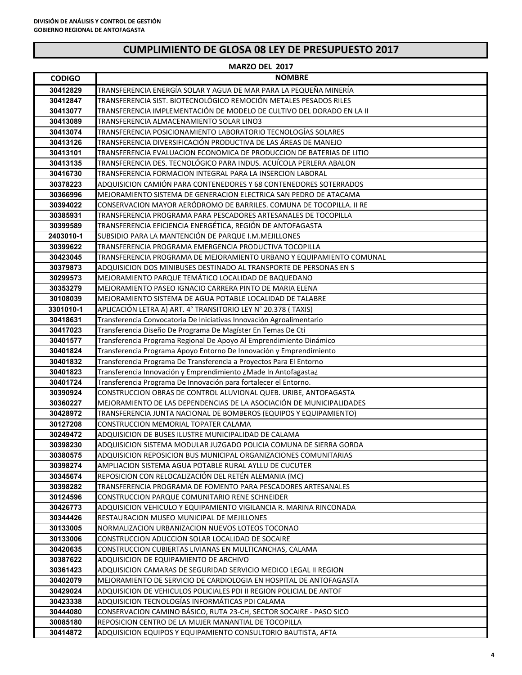| MARZO DEL 2017        |                                                                                                                                       |  |
|-----------------------|---------------------------------------------------------------------------------------------------------------------------------------|--|
| <b>CODIGO</b>         | <b>NOMBRE</b>                                                                                                                         |  |
| 30412829              | TRANSFERENCIA ENERGÍA SOLAR Y AGUA DE MAR PARA LA PEQUEÑA MINERÍA                                                                     |  |
| 30412847              | TRANSFERENCIA SIST. BIOTECNOLÓGICO REMOCIÓN METALES PESADOS RILES                                                                     |  |
| 30413077              | TRANSFERENCIA IMPLEMENTACIÓN DE MODELO DE CULTIVO DEL DORADO EN LA II                                                                 |  |
| 30413089              | TRANSFERENCIA ALMACENAMIENTO SOLAR LINO3                                                                                              |  |
| 30413074              | TRANSFERENCIA POSICIONAMIENTO LABORATORIO TECNOLOGÍAS SOLARES                                                                         |  |
| 30413126              | TRANSFERENCIA DIVERSIFICACIÓN PRODUCTIVA DE LAS ÁREAS DE MANEJO                                                                       |  |
| 30413101              | TRANSFERENCIA EVALUACION ECONOMICA DE PRODUCCION DE BATERIAS DE LITIO                                                                 |  |
| 30413135              | TRANSFERENCIA DES. TECNOLÓGICO PARA INDUS. ACUÍCOLA PERLERA ABALON                                                                    |  |
| 30416730              | TRANSFERENCIA FORMACION INTEGRAL PARA LA INSERCION LABORAL                                                                            |  |
| 30378223              | ADQUISICION CAMIÓN PARA CONTENEDORES Y 68 CONTENEDORES SOTERRADOS                                                                     |  |
| 30366996              | MEJORAMIENTO SISTEMA DE GENERACION ELECTRICA SAN PEDRO DE ATACAMA                                                                     |  |
| 30394022              | CONSERVACION MAYOR AERÓDROMO DE BARRILES. COMUNA DE TOCOPILLA. II RE                                                                  |  |
| 30385931              | TRANSFERENCIA PROGRAMA PARA PESCADORES ARTESANALES DE TOCOPILLA                                                                       |  |
| 30399589              | TRANSFERENCIA EFICIENCIA ENERGÉTICA, REGIÓN DE ANTOFAGASTA                                                                            |  |
| 2403010-1             | SUBSIDIO PARA LA MANTENCIÓN DE PARQUE I.M.MEJILLONES                                                                                  |  |
| 30399622              | TRANSFERENCIA PROGRAMA EMERGENCIA PRODUCTIVA TOCOPILLA                                                                                |  |
| 30423045              | TRANSFERENCIA PROGRAMA DE MEJORAMIENTO URBANO Y EQUIPAMIENTO COMUNAL                                                                  |  |
| 30379873              | ADQUISICION DOS MINIBUSES DESTINADO AL TRANSPORTE DE PERSONAS EN S                                                                    |  |
| 30299573              | MEJORAMIENTO PARQUE TEMÁTICO LOCALIDAD DE BAQUEDANO                                                                                   |  |
| 30353279              | MEJORAMIENTO PASEO IGNACIO CARRERA PINTO DE MARIA ELENA                                                                               |  |
| 30108039              | MEJORAMIENTO SISTEMA DE AGUA POTABLE LOCALIDAD DE TALABRE                                                                             |  |
| 3301010-1<br>30418631 | APLICACIÓN LETRA A) ART. 4° TRANSITORIO LEY N° 20.378 (TAXIS)<br>Transferencia Convocatoria De Iniciativas Innovación Agroalimentario |  |
| 30417023              | Transferencia Diseño De Programa De Magíster En Temas De Cti                                                                          |  |
| 30401577              | Transferencia Programa Regional De Apoyo Al Emprendimiento Dinámico                                                                   |  |
| 30401824              | Transferencia Programa Apoyo Entorno De Innovación y Emprendimiento                                                                   |  |
| 30401832              | Transferencia Programa De Transferencia a Proyectos Para El Entorno                                                                   |  |
| 30401823              | Transferencia Innovación y Emprendimiento ¿Made In Antofagasta¿                                                                       |  |
| 30401724              | Transferencia Programa De Innovación para fortalecer el Entorno.                                                                      |  |
| 30390924              | CONSTRUCCION OBRAS DE CONTROL ALUVIONAL QUEB. URIBE, ANTOFAGASTA                                                                      |  |
| 30360227              | MEJORAMIENTO DE LAS DEPENDENCIAS DE LA ASOCIACIÓN DE MUNICIPALIDADES                                                                  |  |
| 30428972              | TRANSFERENCIA JUNTA NACIONAL DE BOMBEROS (EQUIPOS Y EQUIPAMIENTO)                                                                     |  |
| 30127208              | CONSTRUCCION MEMORIAL TOPATER CALAMA                                                                                                  |  |
| 30249472              | ADQUISICION DE BUSES ILUSTRE MUNICIPALIDAD DE CALAMA                                                                                  |  |
| 30398230              | ADQUISICION SISTEMA MODULAR JUZGADO POLICIA COMUNA DE SIERRA GORDA                                                                    |  |
| 30380575              | ADQUISICION REPOSICION BUS MUNICIPAL ORGANIZACIONES COMUNITARIAS                                                                      |  |
| 30398274              | AMPLIACION SISTEMA AGUA POTABLE RURAL AYLLU DE CUCUTER                                                                                |  |
| 30345674              | REPOSICION CON RELOCALIZACIÓN DEL RETÉN ALEMANIA (MC)                                                                                 |  |
| 30398282              | TRANSFERENCIA PROGRAMA DE FOMENTO PARA PESCADORES ARTESANALES                                                                         |  |
| 30124596              | CONSTRUCCION PARQUE COMUNITARIO RENE SCHNEIDER                                                                                        |  |
| 30426773              | ADQUISICION VEHICULO Y EQUIPAMIENTO VIGILANCIA R. MARINA RINCONADA                                                                    |  |
| 30344426              | RESTAURACION MUSEO MUNICIPAL DE MEJILLONES                                                                                            |  |
| 30133005              | NORMALIZACION URBANIZACION NUEVOS LOTEOS TOCONAO                                                                                      |  |
| 30133006              | CONSTRUCCION ADUCCION SOLAR LOCALIDAD DE SOCAIRE                                                                                      |  |
| 30420635<br>30387622  | CONSTRUCCION CUBIERTAS LIVIANAS EN MULTICANCHAS, CALAMA<br>ADQUISICION DE EQUIPAMIENTO DE ARCHIVO                                     |  |
| 30361423              | ADQUISICION CAMARAS DE SEGURIDAD SERVICIO MEDICO LEGAL II REGION                                                                      |  |
| 30402079              | MEJORAMIENTO DE SERVICIO DE CARDIOLOGIA EN HOSPITAL DE ANTOFAGASTA                                                                    |  |
| 30429024              | ADQUISICION DE VEHICULOS POLICIALES PDI II REGION POLICIAL DE ANTOF                                                                   |  |
| 30423338              | ADQUISICION TECNOLOGIAS INFORMATICAS PDI CALAMA                                                                                       |  |
| 30444080              | CONSERVACION CAMINO BÁSICO, RUTA 23-CH, SECTOR SOCAIRE - PASO SICO                                                                    |  |
| 30085180              | REPOSICION CENTRO DE LA MUJER MANANTIAL DE TOCOPILLA                                                                                  |  |
| 30414872              | ADQUISICION EQUIPOS Y EQUIPAMIENTO CONSULTORIO BAUTISTA, AFTA                                                                         |  |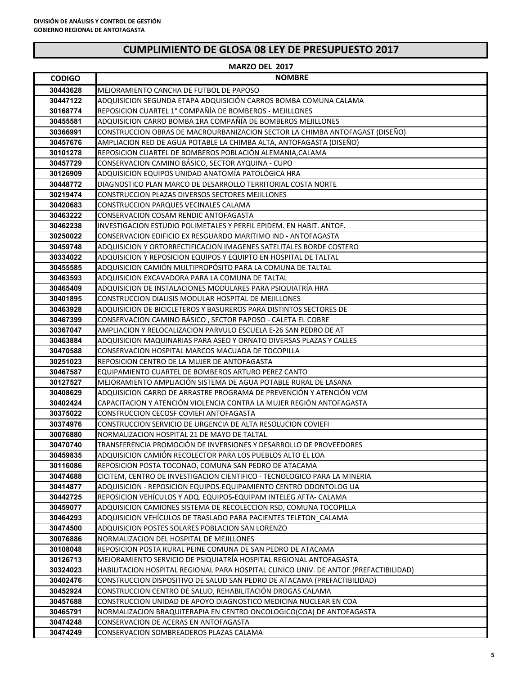|               | MARZO DEL 2017                                                                        |
|---------------|---------------------------------------------------------------------------------------|
| <b>CODIGO</b> | <b>NOMBRE</b>                                                                         |
| 30443628      | MEJORAMIENTO CANCHA DE FUTBOL DE PAPOSO                                               |
| 30447122      | ADQUISICION SEGUNDA ETAPA ADQUISICION CARROS BOMBA COMUNA CALAMA                      |
| 30168774      | REPOSICION CUARTEL 1° COMPAÑÍA DE BOMBEROS - MEJILLONES                               |
| 30455581      | ADQUISICION CARRO BOMBA 1RA COMPAÑÍA DE BOMBEROS MEJILLONES                           |
| 30366991      | CONSTRUCCION OBRAS DE MACROURBANIZACION SECTOR LA CHIMBA ANTOFAGAST (DISEÑO)          |
| 30457676      | AMPLIACION RED DE AGUA POTABLE LA CHIMBA ALTA, ANTOFAGASTA (DISEÑO)                   |
| 30101278      | REPOSICION CUARTEL DE BOMBEROS POBLACIÓN ALEMANIA, CALAMA                             |
| 30457729      | CONSERVACION CAMINO BÁSICO, SECTOR AYQUINA - CUPO                                     |
| 30126909      | ADQUISICION EQUIPOS UNIDAD ANATOMÍA PATOLÓGICA HRA                                    |
| 30448772      | DIAGNOSTICO PLAN MARCO DE DESARROLLO TERRITORIAL COSTA NORTE                          |
| 30219474      | CONSTRUCCION PLAZAS DIVERSOS SECTORES MEJILLONES                                      |
| 30420683      | CONSTRUCCION PARQUES VECINALES CALAMA                                                 |
| 30463222      | CONSERVACION COSAM RENDIC ANTOFAGASTA                                                 |
| 30462238      | INVESTIGACION ESTUDIO POLIMETALES Y PERFIL EPIDEM. EN HABIT. ANTOF.                   |
| 30250022      | CONSERVACION EDIFICIO EX RESGUARDO MARITIMO IND - ANTOFAGASTA                         |
| 30459748      | ADQUISICION Y ORTORRECTIFICACION IMAGENES SATELITALES BORDE COSTERO                   |
| 30334022      | ADQUISICION Y REPOSICION EQUIPOS Y EQUIPTO EN HOSPITAL DE TALTAL                      |
| 30455585      | ADQUISICION CAMIÓN MULTIPROPÓSITO PARA LA COMUNA DE TALTAL                            |
| 30463593      | ADQUISICION EXCAVADORA PARA LA COMUNA DE TALTAL                                       |
| 30465409      | ADQUISICION DE INSTALACIONES MODULARES PARA PSIQUIATRIA HRA                           |
| 30401895      | CONSTRUCCION DIALISIS MODULAR HOSPITAL DE MEJILLONES                                  |
| 30463928      | ADQUISICION DE BICICLETEROS Y BASUREROS PARA DISTINTOS SECTORES DE                    |
| 30467399      | CONSERVACION CAMINO BÁSICO, SECTOR PAPOSO - CALETA EL COBRE                           |
| 30367047      | AMPLIACION Y RELOCALIZACION PARVULO ESCUELA E-26 SAN PEDRO DE AT                      |
| 30463884      | ADQUISICION MAQUINARIAS PARA ASEO Y ORNATO DIVERSAS PLAZAS Y CALLES                   |
| 30470588      | CONSERVACION HOSPITAL MARCOS MACUADA DE TOCOPILLA                                     |
| 30251023      | REPOSICION CENTRO DE LA MUJER DE ANTOFAGASTA                                          |
| 30467587      | EQUIPAMIENTO CUARTEL DE BOMBEROS ARTURO PEREZ CANTO                                   |
| 30127527      | MEJORAMIENTO AMPLIACION SISTEMA DE AGUA POTABLE RURAL DE LASANA                       |
| 30408629      | ADQUISICION CARRO DE ARRASTRE PROGRAMA DE PREVENCIÓN Y ATENCIÓN VCM                   |
| 30402424      | CAPACITACION Y ATENCIÓN VIOLENCIA CONTRA LA MUJER REGIÓN ANTOFAGASTA                  |
| 30375022      | CONSTRUCCION CECOSF COVIEFI ANTOFAGASTA                                               |
| 30374976      | CONSTRUCCION SERVICIO DE URGENCIA DE ALTA RESOLUCION COVIEFI                          |
| 30076880      | NORMALIZACION HOSPITAL 21 DE MAYO DE TALTAL                                           |
| 30470740      | TRANSFERENCIA PROMOCIÓN DE INVERSIONES Y DESARROLLO DE PROVEEDORES                    |
| 30459835      | ADQUISICION CAMIÓN RECOLECTOR PARA LOS PUEBLOS ALTO EL LOA                            |
| 30116086      | REPOSICION POSTA TOCONAO, COMUNA SAN PEDRO DE ATACAMA                                 |
| 30474688      | CICITEM, CENTRO DE INVESTIGACION CIENTIFICO - TECNOLOGICO PARA LA MINERIA             |
| 30414877      | ADQUISICION - REPOSICION EQUIPOS-EQUIPAMIENTO CENTRO ODONTOLOG UA                     |
| 30442725      | REPOSICION VEHÍCULOS Y ADQ. EQUIPOS-EQUIPAM INTELEG AFTA- CALAMA                      |
| 30459077      | ADQUISICION CAMIONES SISTEMA DE RECOLECCION RSD, COMUNA TOCOPILLA                     |
| 30464293      | ADQUISICION VEHÍCULOS DE TRASLADO PARA PACIENTES TELETON CALAMA                       |
| 30474500      | ADQUISICION POSTES SOLARES POBLACION SAN LORENZO                                      |
| 30076886      | NORMALIZACION DEL HOSPITAL DE MEJILLONES                                              |
| 30108048      | REPOSICION POSTA RURAL PEINE COMUNA DE SAN PEDRO DE ATACAMA                           |
| 30126713      | MEJORAMIENTO SERVICIO DE PSIQUIATRÍA HOSPITAL REGIONAL ANTOFAGASTA                    |
| 30324023      | HABILITACION HOSPITAL REGIONAL PARA HOSPITAL CLINICO UNIV. DE ANTOF.(PREFACTIBILIDAD) |
| 30402476      | CONSTRUCCION DISPOSITIVO DE SALUD SAN PEDRO DE ATACAMA (PREFACTIBILIDAD)              |
| 30452924      | CONSTRUCCION CENTRO DE SALUD, REHABILITACIÓN DROGAS CALAMA                            |
| 30457688      | CONSTRUCCION UNIDAD DE APOYO DIAGNOSTICO MEDICINA NUCLEAR EN COA                      |
| 30465791      | NORMALIZACION BRAQUITERAPIA EN CENTRO ONCOLOGICO(COA) DE ANTOFAGASTA                  |
| 30474248      | CONSERVACION DE ACERAS EN ANTOFAGASTA                                                 |
| 30474249      | CONSERVACION SOMBREADEROS PLAZAS CALAMA                                               |